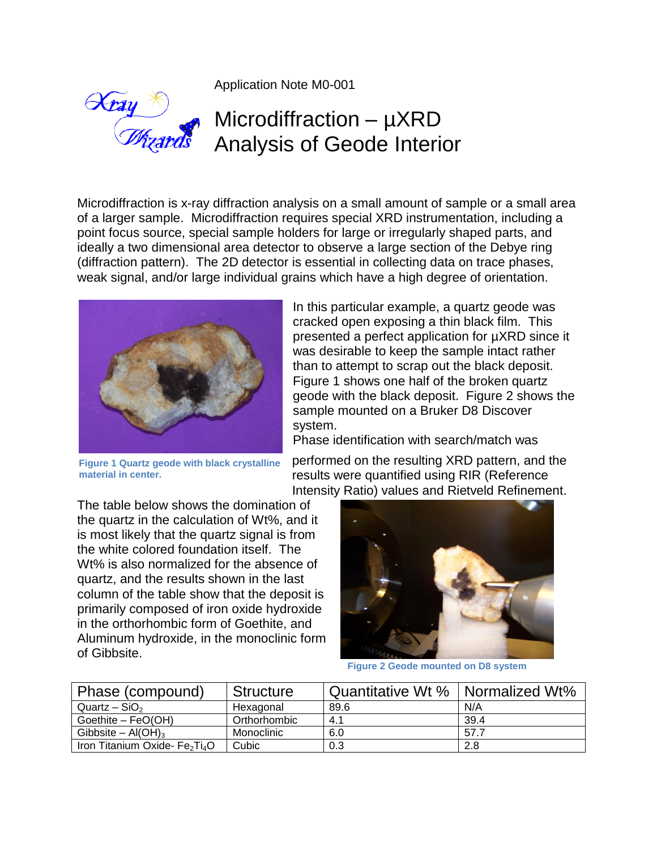Application Note M0-001



## Microdiffraction –  $\mu$ XRD Analysis of Geode Interior

Microdiffraction is x-ray diffraction analysis on a small amount of sample or a small area of a larger sample. Microdiffraction requires special XRD instrumentation, including a point focus source, special sample holders for large or irregularly shaped parts, and ideally a two dimensional area detector to observe a large section of the Debye ring (diffraction pattern). The 2D detector is essential in collecting data on trace phases, weak signal, and/or large individual grains which have a high degree of orientation.



**Figure 1 Quartz geode with black crystalline material in center.**

In this particular example, a quartz geode was cracked open exposing a thin black film. This presented a perfect application for µXRD since it was desirable to keep the sample intact rather than to attempt to scrap out the black deposit. Figure 1 shows one half of the broken quartz geode with the black deposit. Figure 2 shows the sample mounted on a Bruker D8 Discover system.

Phase identification with search/match was

performed on the resulting XRD pattern, and the results were quantified using RIR (Reference Intensity Ratio) values and Rietveld Refinement.

The table below shows the domination of the quartz in the calculation of Wt%, and it is most likely that the quartz signal is from the white colored foundation itself. The Wt% is also normalized for the absence of quartz, and the results shown in the last column of the table show that the deposit is primarily composed of iron oxide hydroxide in the orthorhombic form of Goethite, and Aluminum hydroxide, in the monoclinic form of Gibbsite.



**Figure 2 Geode mounted on D8 system**

| Phase (compound)                                       | <b>Structure</b> | Quantitative Wt % | Normalized Wt% |
|--------------------------------------------------------|------------------|-------------------|----------------|
| Quartz – $SiO2$                                        | Hexagonal        | 89.6              | N/A            |
| Goethite - FeO(OH)                                     | Orthorhombic     | 4.1               | 39.4           |
| Gibbsite – $AI(OH)_{3}$                                | Monoclinic       | 6.0               | 57.7           |
| Iron Titanium Oxide- Fe <sub>2</sub> Ti <sub>4</sub> O | Cubic            | 0.3               | 2.8            |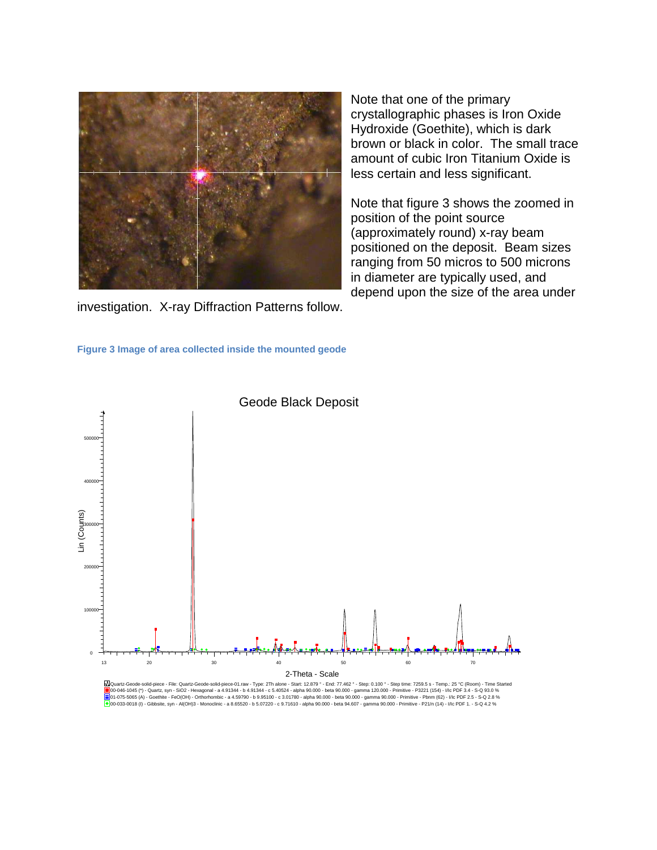

investigation. X-ray Diffraction Patterns follow.

**Figure 3 Image of area collected inside the mounted geode**

Note that one of the primary crystallographic phases is Iron Oxide Hydroxide (Goethite), which is dark brown or black in color. The small trace amount of cubic Iron Titanium Oxide is less certain and less significant.

Note that figure 3 shows the zoomed in position of the point source (approximately round) x-ray beam positioned on the deposit. Beam sizes ranging from 50 micros to 500 microns in diameter are typically used, and depend upon the size of the area under